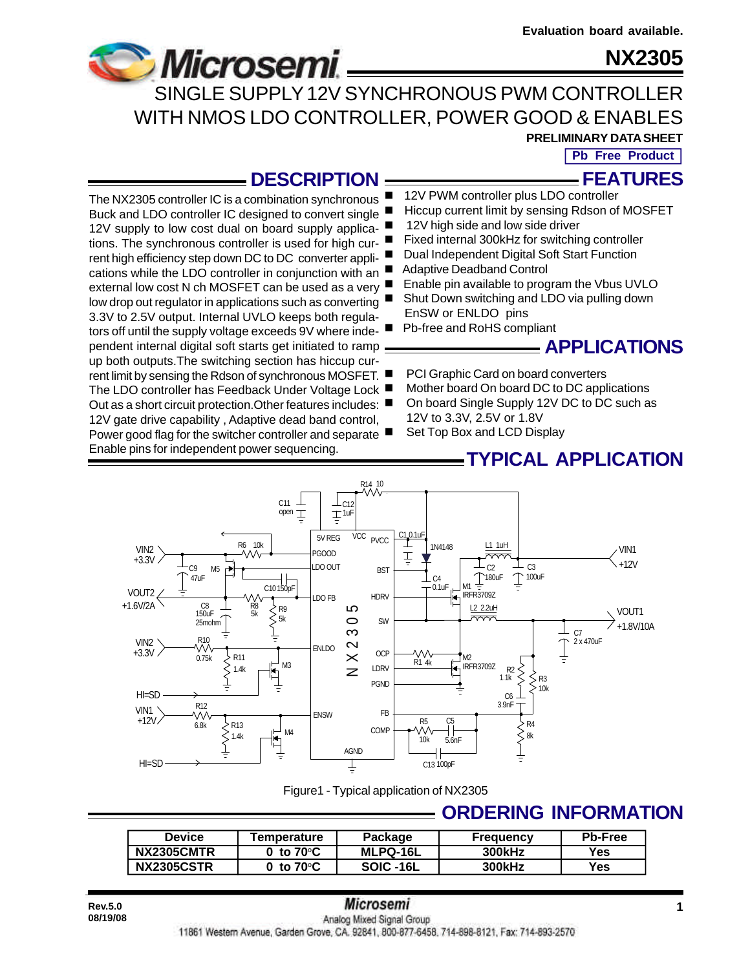

**Microsemi** 

The NX2305 controller IC is a combination synchronous Buck and LDO controller IC designed to convert single 12V supply to low cost dual on board supply applications. The synchronous controller is used for high current high efficiency step down DC to DC converter applications while the LDO controller in conjunction with an external low cost N ch MOSFET can be used as a very low drop out regulator in applications such as converting 3.3V to 2.5V output. Internal UVLO keeps both regulators off until the supply voltage exceeds 9V where independent internal digital soft starts get initiated to ramp up both outputs.The switching section has hiccup cur-

12V gate drive capability, Adaptive dead band control,

Enable pins for independent power sequencing.

SINGLE SUPPLY 12V SYNCHRONOUS PWM CONTROLLER WITH NMOS LDO CONTROLLER, POWER GOOD & ENABLES

**PRELIMINARY DATA SHEET**

**Pb Free Product**

**FEATURES**

## **DESCRIPTION**

- 12V PWM controller plus LDO controller
- Hiccup current limit by sensing Rdson of MOSFET
- 12V high side and low side driver
- Fixed internal 300kHz for switching controller
- Dual Independent Digital Soft Start Function
- Adaptive Deadband Control
- Enable pin available to program the Vbus UVLO
- Shut Down switching and LDO via pulling down EnSW or ENLDO pins
- Pb-free and RoHS compliant

# **APPLICATIONS**

- rent limit by sensing the Rdson of synchronous MOSFET. PCI Graphic Card on board converters
- The LDO controller has Feedback Under Voltage Lock Mother board On board DC to DC applications
- Out as a short circuit protection. Other features includes: On board Single Supply 12V DC to DC such as 12V to 3.3V, 2.5V or 1.8V
- Power good flag for the switcher controller and separate Set Top Box and LCD Display

## **TYPICAL APPLICATION**



Figure1 - Typical application of NX2305

# **ORDERING INFORMATION**

| Device            | <b>Temperature</b>                | Package         | <b>Frequency</b> | <b>Pb-Free</b> |
|-------------------|-----------------------------------|-----------------|------------------|----------------|
| <b>NX2305CMTR</b> | $0\,$ to $70^{\circ}\mathrm{C}$ . | <b>MLPQ-16L</b> | <b>300kHz</b>    | Yes.           |
| <b>NX2305CSTR</b> | 0 to 70°C                         | SOIC-16L        | <b>300kHz</b>    | Yes.           |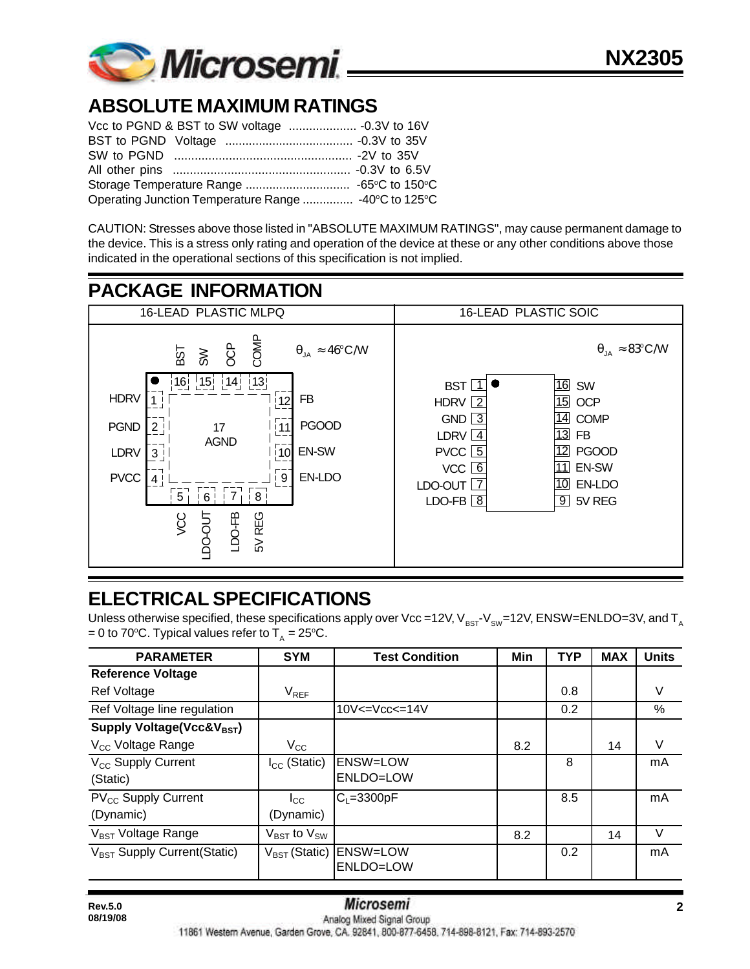

# **ABSOLUTE MAXIMUM RATINGS**

| Operating Junction Temperature Range  -40°C to 125°C |  |
|------------------------------------------------------|--|

CAUTION: Stresses above those listed in "ABSOLUTE MAXIMUM RATINGS", may cause permanent damage to the device. This is a stress only rating and operation of the device at these or any other conditions above those indicated in the operational sections of this specification is not implied.



# **ELECTRICAL SPECIFICATIONS**

Unless otherwise specified, these specifications apply over Vcc =12V,  $V_{BST}V_{SW}=12V$ , ENSW=ENLDO=3V, and T<sub>A</sub> = 0 to 70°C. Typical values refer to  $T_A = 25$ °C.

| <b>PARAMETER</b>                             | <b>SYM</b>                          | <b>Test Condition</b>        | Min | <b>TYP</b> | <b>MAX</b> | <b>Units</b> |
|----------------------------------------------|-------------------------------------|------------------------------|-----|------------|------------|--------------|
| <b>Reference Voltage</b>                     |                                     |                              |     |            |            |              |
| Ref Voltage                                  | $V_{REF}$                           |                              |     | 0.8        |            | V            |
| Ref Voltage line regulation                  |                                     | $10V < = Vcc < = 14V$        |     | 0.2        |            | $\%$         |
| Supply Voltage(Vcc&V <sub>BST</sub> )        |                                     |                              |     |            |            |              |
| V <sub>cc</sub> Voltage Range                | $V_{CC}$                            |                              | 8.2 |            | 14         | V            |
| V <sub>CC</sub> Supply Current<br>(Static)   | $I_{CC}$ (Static)                   | <b>ENSW=LOW</b><br>ENLDO=LOW |     | 8          |            | mA           |
| PV <sub>CC</sub> Supply Current<br>(Dynamic) | $I_{\rm CC}$<br>(Dynamic)           | $C_1 = 3300pF$               |     | 8.5        |            | mA           |
| V <sub>BST</sub> Voltage Range               | $V_{\text{BST}}$ to $V_{\text{SW}}$ |                              | 8.2 |            | 14         | V            |
| V <sub>BST</sub> Supply Current(Static)      | $V_{BST}$ (Static)                  | <b>ENSW=LOW</b><br>ENLDO=LOW |     | 0.2        |            | mA           |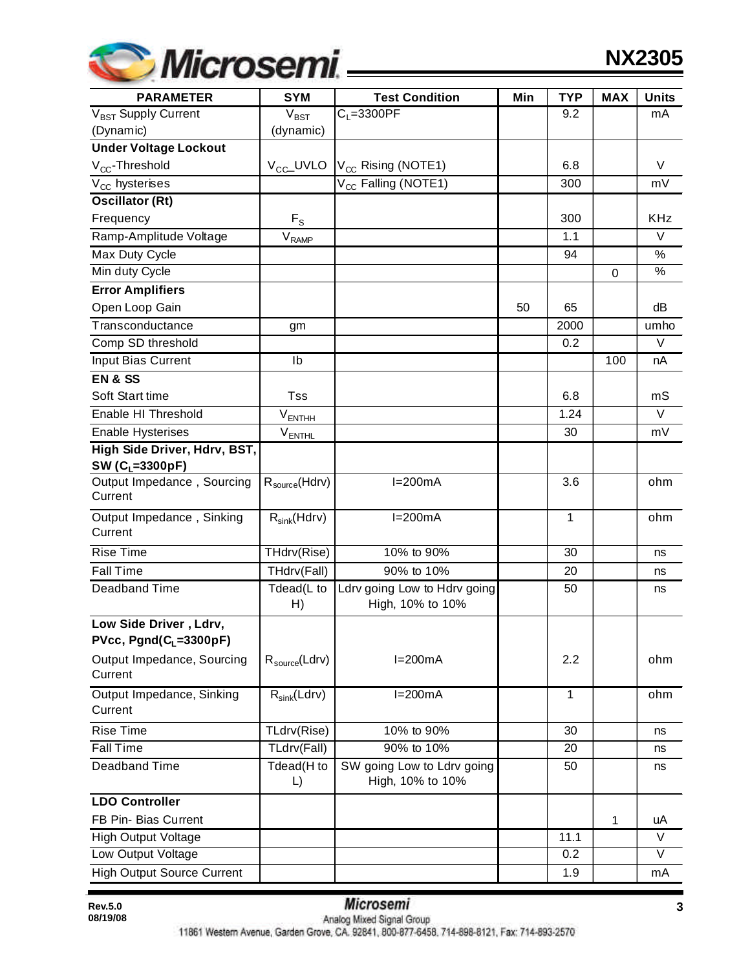

**NX2305**

| <b>PARAMETER</b>                                  | <b>SYM</b>                   | <b>Test Condition</b>                            | Min | <b>TYP</b> | <b>MAX</b> | <b>Units</b>  |
|---------------------------------------------------|------------------------------|--------------------------------------------------|-----|------------|------------|---------------|
| V <sub>BST</sub> Supply Current                   | $\overline{V}_{\text{BST}}$  | $C1=3300PF$                                      |     | 9.2        |            | mA            |
| (Dynamic)                                         | (dynamic)                    |                                                  |     |            |            |               |
| <b>Under Voltage Lockout</b>                      |                              |                                                  |     |            |            |               |
| $V_{CC}$ -Threshold                               | V <sub>CC</sub> _UVLO        | $V_{CC}$ Rising (NOTE1)                          |     | 6.8        |            | V             |
| $V_{CC}$ hysterises                               |                              | V <sub>CC</sub> Falling (NOTE1)                  |     | 300        |            | mV            |
| <b>Oscillator (Rt)</b>                            |                              |                                                  |     |            |            |               |
| Frequency                                         | $F_S$                        |                                                  |     | 300        |            | <b>KHz</b>    |
| Ramp-Amplitude Voltage                            | $\mathsf{V}_{\mathsf{RAMP}}$ |                                                  |     | 1.1        |            | V             |
| <b>Max Duty Cycle</b>                             |                              |                                                  |     | 94         |            | $\frac{1}{2}$ |
| Min duty Cycle                                    |                              |                                                  |     |            | 0          | %             |
| <b>Error Amplifiers</b>                           |                              |                                                  |     |            |            |               |
| Open Loop Gain                                    |                              |                                                  | 50  | 65         |            | dB            |
| Transconductance                                  | gm                           |                                                  |     | 2000       |            | umho          |
| Comp SD threshold                                 |                              |                                                  |     | 0.2        |            | $\vee$        |
| Input Bias Current                                | Ib                           |                                                  |     |            | 100        | nA            |
| <b>EN &amp; SS</b>                                |                              |                                                  |     |            |            |               |
| Soft Start time                                   | Tss                          |                                                  |     | 6.8        |            | mS            |
| Enable HI Threshold                               | $V_{ENTHH}$                  |                                                  |     | 1.24       |            | $\vee$        |
| <b>Enable Hysterises</b>                          | $V_{\text{ENTHL}}$           |                                                  |     | 30         |            | mV            |
| High Side Driver, Hdrv, BST,                      |                              |                                                  |     |            |            |               |
| SW (C <sub>L</sub> =3300pF)                       |                              |                                                  |     |            |            |               |
| Output Impedance, Sourcing<br>Current             | $R_{source}$ (Hdrv)          | $I=200mA$                                        |     | 3.6        |            | ohm           |
| Output Impedance, Sinking<br>Current              | $R_{sink}(Hdrv)$             | $I=200mA$                                        |     | 1          |            | ohm           |
| <b>Rise Time</b>                                  | THdrv(Rise)                  | 10% to 90%                                       |     | 30         |            | ns            |
| <b>Fall Time</b>                                  | THdrv(Fall)                  | 90% to 10%                                       |     | 20         |            | ns            |
| Deadband Time                                     | Tdead(L to<br>H)             | Ldrv going Low to Hdrv going<br>High, 10% to 10% |     | 50         |            | ns            |
| Low Side Driver, Ldrv,<br>$PVec, Pgnd(CL=3300pF)$ |                              |                                                  |     |            |            |               |
| Output Impedance, Sourcing<br>Current             | $R_{source}$ (Ldrv)          | $I=200mA$                                        |     | 2.2        |            | ohm           |
| Output Impedance, Sinking<br>Current              | $R_{sink}(Ldrv)$             | $I=200mA$                                        |     | 1          |            | ohm           |
| <b>Rise Time</b>                                  | TLdrv(Rise)                  | 10% to 90%                                       |     | 30         |            | ns            |
| <b>Fall Time</b>                                  | TLdrv(Fall)                  | 90% to 10%                                       |     | 20         |            | ns            |
| Deadband Time                                     | Tdead(H to<br>L)             | SW going Low to Ldrv going<br>High, 10% to 10%   |     | 50         |            | ns            |
| <b>LDO Controller</b>                             |                              |                                                  |     |            |            |               |
| FB Pin- Bias Current                              |                              |                                                  |     |            | 1          | uA            |
| <b>High Output Voltage</b>                        |                              |                                                  |     | 11.1       |            | V             |
| Low Output Voltage                                |                              |                                                  |     | 0.2        |            | $\vee$        |
| <b>High Output Source Current</b>                 |                              |                                                  |     | 1.9        |            | mA            |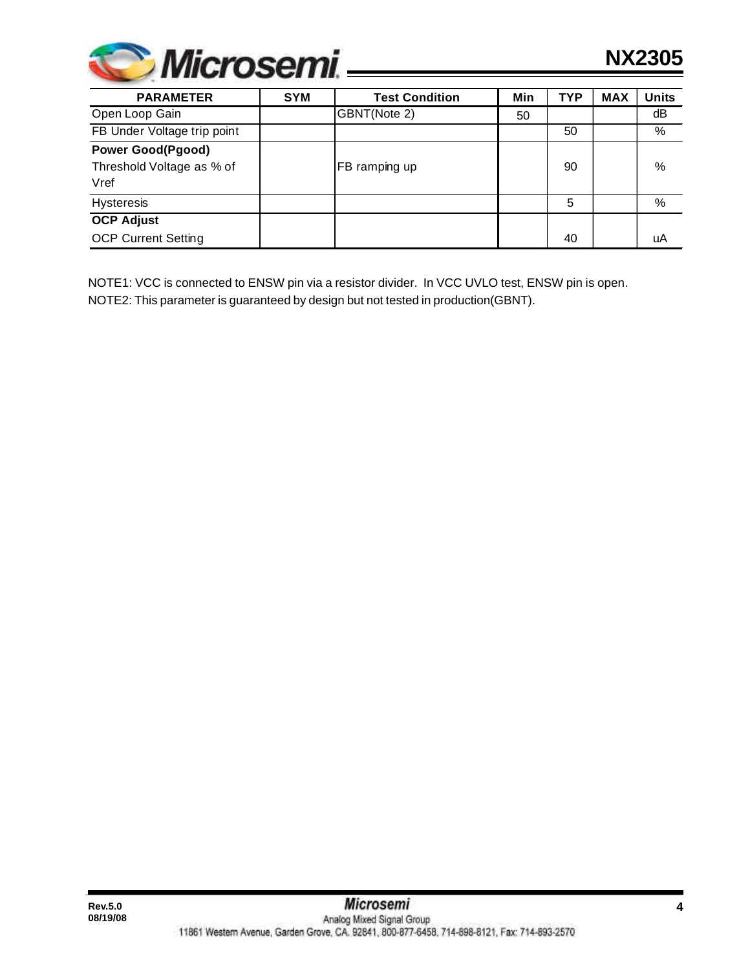

| <b>PARAMETER</b>                                              | <b>SYM</b> | <b>Test Condition</b> | Min | <b>TYP</b> | <b>MAX</b> | <b>Units</b> |
|---------------------------------------------------------------|------------|-----------------------|-----|------------|------------|--------------|
| Open Loop Gain                                                |            | GBNT(Note 2)          | 50  |            |            | dB           |
| FB Under Voltage trip point                                   |            |                       |     | 50         |            | %            |
| <b>Power Good(Pgood)</b><br>Threshold Voltage as % of<br>Vref |            | FB ramping up         |     | 90         |            | %            |
| <b>Hysteresis</b>                                             |            |                       |     | 5          |            | %            |
| <b>OCP Adjust</b>                                             |            |                       |     |            |            |              |
| <b>OCP Current Setting</b>                                    |            |                       |     | 40         |            | uA           |

NOTE1: VCC is connected to ENSW pin via a resistor divider. In VCC UVLO test, ENSW pin is open. NOTE2: This parameter is guaranteed by design but not tested in production(GBNT).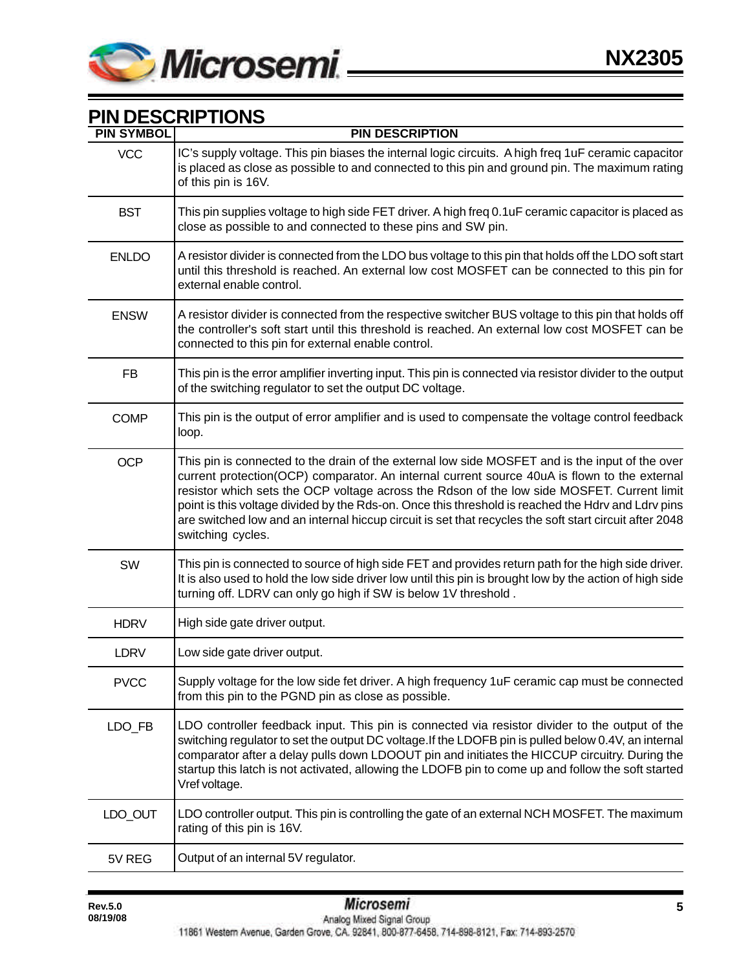

## **PIN DESCRIPTIONS**

| <b>PIN SYMBOL</b> | <b>PIN DESCRIPTION</b>                                                                                                                                                                                                                                                                                                                                                                                                                                                                                                             |
|-------------------|------------------------------------------------------------------------------------------------------------------------------------------------------------------------------------------------------------------------------------------------------------------------------------------------------------------------------------------------------------------------------------------------------------------------------------------------------------------------------------------------------------------------------------|
| <b>VCC</b>        | IC's supply voltage. This pin biases the internal logic circuits. A high freq 1uF ceramic capacitor<br>is placed as close as possible to and connected to this pin and ground pin. The maximum rating<br>of this pin is 16V.                                                                                                                                                                                                                                                                                                       |
| <b>BST</b>        | This pin supplies voltage to high side FET driver. A high freq 0.1uF ceramic capacitor is placed as<br>close as possible to and connected to these pins and SW pin.                                                                                                                                                                                                                                                                                                                                                                |
| <b>ENLDO</b>      | A resistor divider is connected from the LDO bus voltage to this pin that holds off the LDO soft start<br>until this threshold is reached. An external low cost MOSFET can be connected to this pin for<br>external enable control.                                                                                                                                                                                                                                                                                                |
| <b>ENSW</b>       | A resistor divider is connected from the respective switcher BUS voltage to this pin that holds off<br>the controller's soft start until this threshold is reached. An external low cost MOSFET can be<br>connected to this pin for external enable control.                                                                                                                                                                                                                                                                       |
| FB                | This pin is the error amplifier inverting input. This pin is connected via resistor divider to the output<br>of the switching regulator to set the output DC voltage.                                                                                                                                                                                                                                                                                                                                                              |
| <b>COMP</b>       | This pin is the output of error amplifier and is used to compensate the voltage control feedback<br>loop.                                                                                                                                                                                                                                                                                                                                                                                                                          |
| <b>OCP</b>        | This pin is connected to the drain of the external low side MOSFET and is the input of the over<br>current protection(OCP) comparator. An internal current source 40uA is flown to the external<br>resistor which sets the OCP voltage across the Rdson of the low side MOSFET. Current limit<br>point is this voltage divided by the Rds-on. Once this threshold is reached the Hdrv and Ldrv pins<br>are switched low and an internal hiccup circuit is set that recycles the soft start circuit after 2048<br>switching cycles. |
| SW                | This pin is connected to source of high side FET and provides return path for the high side driver.<br>It is also used to hold the low side driver low until this pin is brought low by the action of high side<br>turning off. LDRV can only go high if SW is below 1V threshold.                                                                                                                                                                                                                                                 |
| <b>HDRV</b>       | High side gate driver output.                                                                                                                                                                                                                                                                                                                                                                                                                                                                                                      |
| <b>LDRV</b>       | Low side gate driver output.                                                                                                                                                                                                                                                                                                                                                                                                                                                                                                       |
| <b>PVCC</b>       | Supply voltage for the low side fet driver. A high frequency 1uF ceramic cap must be connected<br>from this pin to the PGND pin as close as possible.                                                                                                                                                                                                                                                                                                                                                                              |
| LDO_FB            | LDO controller feedback input. This pin is connected via resistor divider to the output of the<br>switching regulator to set the output DC voltage. If the LDOFB pin is pulled below 0.4V, an internal<br>comparator after a delay pulls down LDOOUT pin and initiates the HICCUP circuitry. During the<br>startup this latch is not activated, allowing the LDOFB pin to come up and follow the soft started<br>Vref voltage.                                                                                                     |
| LDO_OUT           | LDO controller output. This pin is controlling the gate of an external NCH MOSFET. The maximum<br>rating of this pin is 16V.                                                                                                                                                                                                                                                                                                                                                                                                       |
| 5V REG            | Output of an internal 5V regulator.                                                                                                                                                                                                                                                                                                                                                                                                                                                                                                |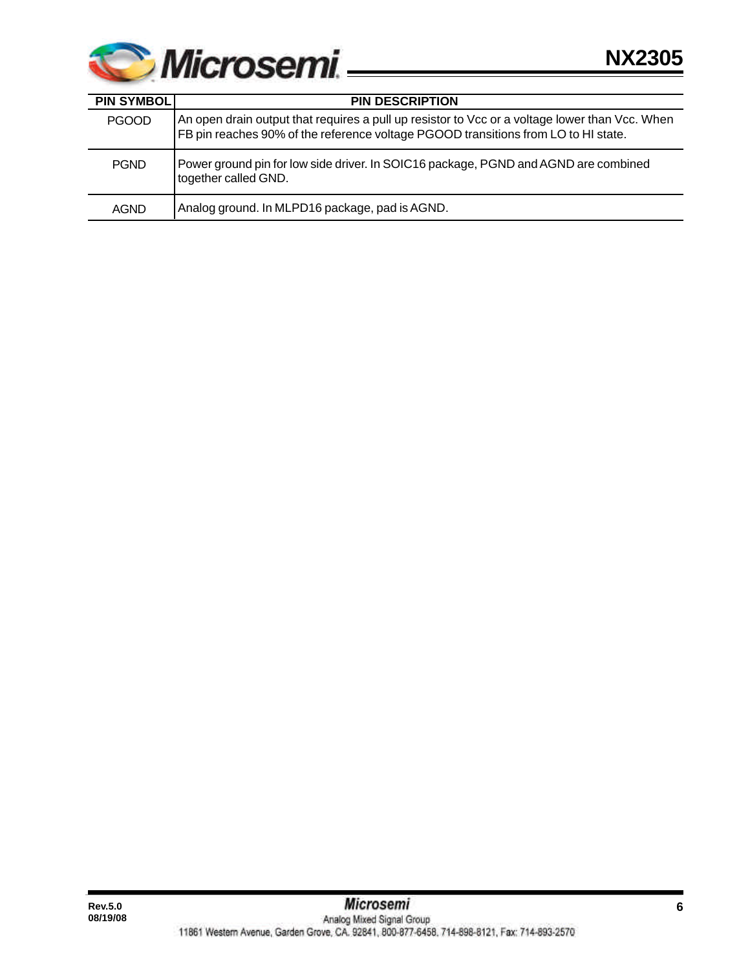

| <b>PIN SYMBOLI</b> | <b>PIN DESCRIPTION</b>                                                                                                                                                               |
|--------------------|--------------------------------------------------------------------------------------------------------------------------------------------------------------------------------------|
| <b>PGOOD</b>       | An open drain output that requires a pull up resistor to Vcc or a voltage lower than Vcc. When<br>FB pin reaches 90% of the reference voltage PGOOD transitions from LO to HI state. |
| <b>PGND</b>        | Power ground pin for low side driver. In SOIC16 package, PGND and AGND are combined<br>together called GND.                                                                          |
| AGND               | Analog ground. In MLPD16 package, pad is AGND.                                                                                                                                       |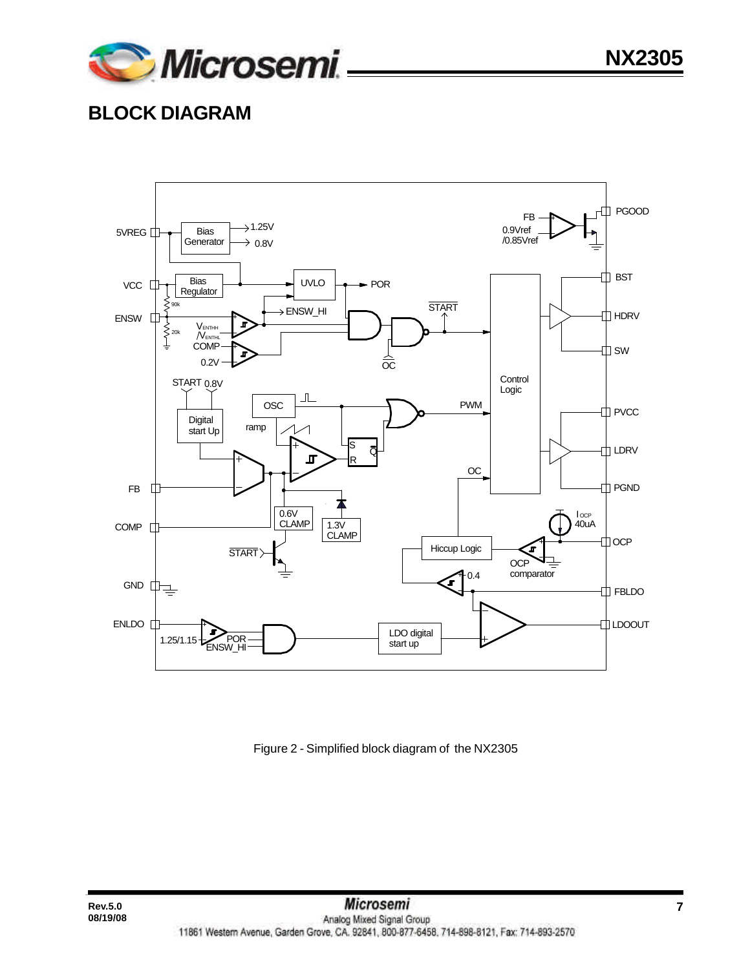

# **BLOCK DIAGRAM**



Figure 2 - Simplified block diagram of the NX2305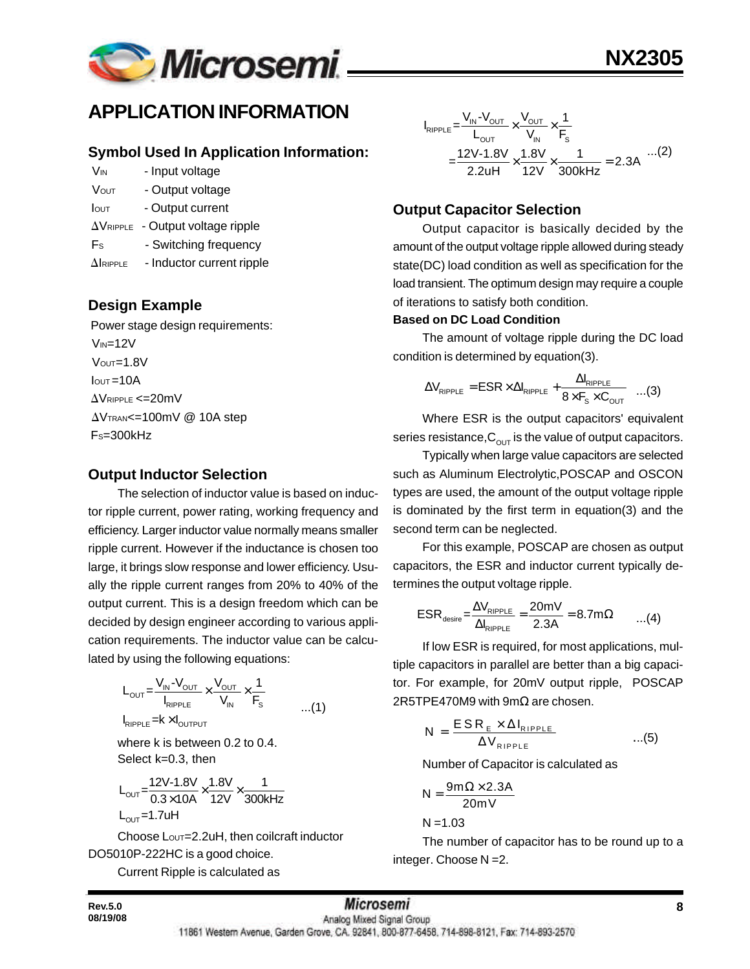

## **APPLICATION INFORMATION**

#### **Symbol Used In Application Information:**

- V<sub>IN</sub> Input voltage
- VOUT Output voltage
- Iout Output current
- $\Delta V_{\text{RIPPLE}}$  Output voltage ripple
- Fs Switching frequency
- $\Delta$ IRIPPLE Inductor current ripple

## **Design Example**

 Power stage design requirements:  $V_{IN}=12V$  $V$ OUT= $1.8V$  $I<sub>OUT</sub>=10A$  $\Delta$ VRIPPLE <=20mV  $\Delta V$ TRAN<=100mV @ 10A step FS=300kHz

## **Output Inductor Selection**

The selection of inductor value is based on inductor ripple current, power rating, working frequency and efficiency. Larger inductor value normally means smaller ripple current. However if the inductance is chosen too large, it brings slow response and lower efficiency. Usually the ripple current ranges from 20% to 40% of the output current. This is a design freedom which can be decided by design engineer according to various application requirements. The inductor value can be calculated by using the following equations:

$$
L_{\text{OUT}} = \frac{V_{\text{IN}} \cdot V_{\text{OUT}}}{I_{\text{RIPPLE}}} \times \frac{V_{\text{OUT}}}{V_{\text{IN}}} \times \frac{1}{F_{\text{s}}} \qquad \qquad \dots (1)
$$

 $I_{RIPPLE} = k \times I_{OUTPUT}$ 

where k is between 0.2 to 0.4. Select k=0.3, then

$$
L_{\text{OUT}} = \frac{12V - 1.8V}{0.3 \times 10A} \times \frac{1.8V}{12V} \times \frac{1}{300kHz}
$$
  
L\_{\text{OUT}} = 1.7uH

Choose Lout=2.2uH, then coilcraft inductor DO5010P-222HC is a good choice.

Current Ripple is calculated as

$$
I_{RIPPLE} = \frac{V_{IN} - V_{OUT}}{L_{OUT}} \times \frac{V_{OUT}}{V_{IN}} \times \frac{1}{F_s}
$$
  
= 
$$
\frac{12V - 1.8V}{2.2uH} \times \frac{1.8V}{12V} \times \frac{1}{300kHz} = 2.3A
$$
...(2)

## **Output Capacitor Selection**

Output capacitor is basically decided by the amount of the output voltage ripple allowed during steady state(DC) load condition as well as specification for the load transient. The optimum design may require a couple of iterations to satisfy both condition.

#### **Based on DC Load Condition**

The amount of voltage ripple during the DC load condition is determined by equation(3).

$$
\Delta V_{\text{RIPPLE}} = \text{ESR} \times \Delta I_{\text{RIPPLE}} + \frac{\Delta I_{\text{RIPPLE}}}{8 \times F_{\text{s}} \times C_{\text{OUT}}} \quad ...(3)
$$

Where ESR is the output capacitors' equivalent series resistance,  $C_{\text{out}}$  is the value of output capacitors.

Typically when large value capacitors are selected such as Aluminum Electrolytic,POSCAP and OSCON types are used, the amount of the output voltage ripple is dominated by the first term in equation(3) and the second term can be neglected.

For this example, POSCAP are chosen as output capacitors, the ESR and inductor current typically determines the output voltage ripple.

$$
ESR_{\text{desire}} = \frac{\Delta V_{\text{RIPPLE}}}{\Delta I_{\text{RIPPLE}}} = \frac{20 \text{mV}}{2.3 \text{A}} = 8.7 \text{m}\Omega \qquad ...(4)
$$

If low ESR is required, for most applications, multiple capacitors in parallel are better than a big capacitor. For example, for 20mV output ripple, POSCAP 2R5TPE470M9 with 9m $\Omega$  are chosen.

$$
N = \frac{ESR_{E} \times \Delta I_{RIPPLE}}{\Delta V_{RIPPLE}} \qquad ...(5)
$$

Number of Capacitor is calculated as

$$
N = \frac{9m\Omega \times 2.3A}{20mV}
$$

 $N = 1.03$ 

The number of capacitor has to be round up to a integer. Choose N =2.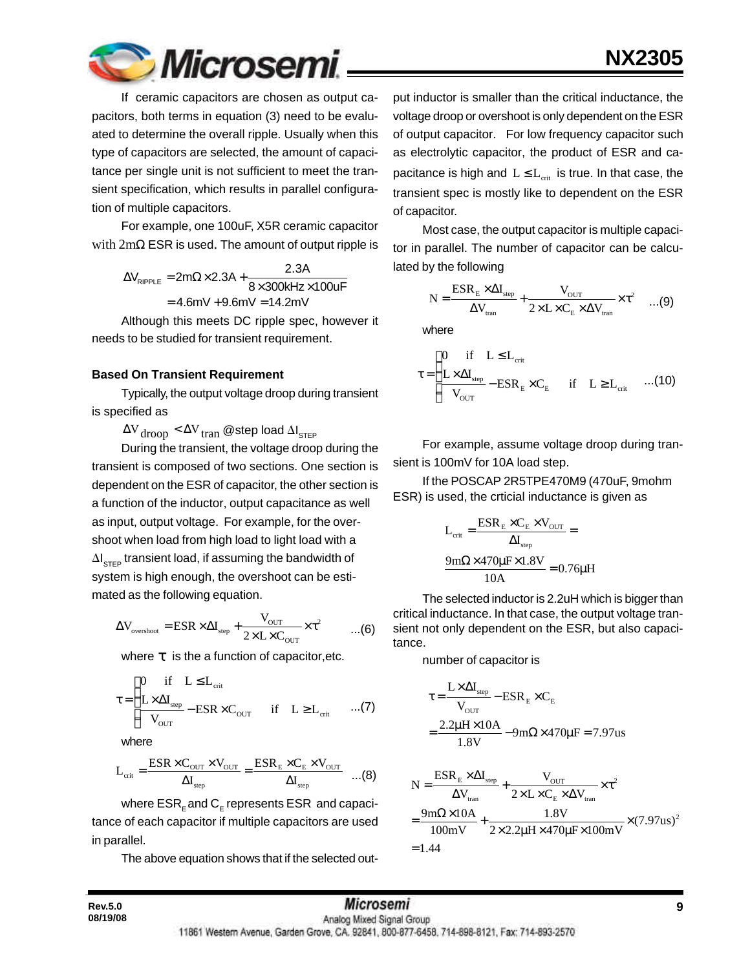

If ceramic capacitors are chosen as output capacitors, both terms in equation (3) need to be evaluated to determine the overall ripple. Usually when this type of capacitors are selected, the amount of capacitance per single unit is not sufficient to meet the transient specification, which results in parallel configuration of multiple capacitors.

For example, one 100uF, X5R ceramic capacitor with  $2m\Omega$  ESR is used. The amount of output ripple is

> $\Delta V_{\text{RIPPLE}} = 2\text{m}\Omega \times 2.3\text{A} + \frac{2.3\text{A}}{8 \times 300 \text{kHz} \times 100 \text{uF}}$  $=4.6$ mV  $+9.6$ mV  $=14.2$ mV

Although this meets DC ripple spec, however it needs to be studied for transient requirement.

#### **Based On Transient Requirement**

Typically, the output voltage droop during transient is specified as

 $\Delta {\rm V}_{\rm drop} < \Delta {\rm V}_{\rm tran}$  @step load  $\Delta {\rm I}_{\rm s\tau\epsilon\text{p}}$ 

During the transient, the voltage droop during the transient is composed of two sections. One section is dependent on the ESR of capacitor, the other section is a function of the inductor, output capacitance as well as input, output voltage. For example, for the overshoot when load from high load to light load with a  $\Delta\boldsymbol{\mathsf{I}}_{\textsf{STEP}}$  transient load, if assuming the bandwidth of system is high enough, the overshoot can be estimated as the following equation.

$$
\Delta V_{\text{overshoot}} = \text{ESR} \times \Delta I_{\text{step}} + \frac{V_{\text{OUT}}}{2 \times L \times C_{\text{OUT}}} \times \tau^2 \qquad ...(6)
$$

where *t* is the a function of capacitor,etc.

$$
\tau = \begin{cases}\n0 & \text{if} \quad L \leq L_{\text{crit}} \\
\frac{L \times \Delta I_{\text{step}}}{V_{\text{OUT}}} - \text{ESR} \times C_{\text{OUT}} & \text{if} \quad L \geq L_{\text{crit}} \quad \dots (7)\n\end{cases}
$$

where

$$
L_{\text{crit}} = \frac{\text{ESR} \times C_{\text{OUT}} \times V_{\text{OUT}}}{\Delta I_{\text{step}}} = \frac{\text{ESR}_{\text{E}} \times C_{\text{E}} \times V_{\text{OUT}}}{\Delta I_{\text{step}}} \quad ...(8)
$$

where  $\sf{ESR}_\epsilon$  and  $\sf{C}_\epsilon$  represents  $\sf{ESR}\;$  and capacitance of each capacitor if multiple capacitors are used in parallel.

The above equation shows that if the selected out-

put inductor is smaller than the critical inductance, the voltage droop or overshoot is only dependent on the ESR of output capacitor. For low frequency capacitor such as electrolytic capacitor, the product of ESR and capacitance is high and  $L \le L_{\textrm{\tiny crit}}$  is true. In that case, the transient spec is mostly like to dependent on the ESR of capacitor.

Most case, the output capacitor is multiple capacitor in parallel. The number of capacitor can be calculated by the following

$$
N = \frac{ESR_{E} \times \Delta I_{\text{step}}}{\Delta V_{\text{tran}}} + \frac{V_{\text{OUT}}}{2 \times L \times C_{E} \times \Delta V_{\text{tran}}} \times \tau^{2} \quad ...(9)
$$

where

$$
\tau = \begin{cases}\n0 & \text{if} \quad L \leq L_{\text{crit}} \\
\frac{L \times \Delta I_{\text{step}}}{V_{\text{OUT}}} - \text{ESR}_{E} \times C_{E} & \text{if} \quad L \geq L_{\text{crit}} \quad ...(10)\n\end{cases}
$$

For example, assume voltage droop during transient is 100mV for 10A load step.

If the POSCAP 2R5TPE470M9 (470uF, 9mohm ESR) is used, the crticial inductance is given as

$$
L_{\text{crit}} = \frac{ESR_{\text{E}} \times C_{\text{E}} \times V_{\text{OUT}}}{\Delta I_{\text{step}}} =
$$

$$
\frac{9 \text{m}\Omega \times 470 \mu \text{F} \times 1.8 \text{V}}{10 \text{A}} = 0.76 \mu \text{H}
$$

The selected inductor is 2.2uH which is bigger than critical inductance. In that case, the output voltage transient not only dependent on the ESR, but also capacitance.

number of capacitor is

$$
\tau = \frac{L \times \Delta I_{\text{step}}}{V_{\text{OUT}}} - \text{ESR}_{E} \times C_{E}
$$

$$
= \frac{2.2 \mu H \times 10A}{1.8 V} - 9 m \Omega \times 470 \mu F = 7.97 us
$$

$$
N = \frac{ESR_{E} \times \Delta I_{step}}{\Delta V_{tran}} + \frac{V_{OUT}}{2 \times L \times C_{E} \times \Delta V_{tran}} \times \tau^{2}
$$
  
= 
$$
\frac{9m\Omega \times 10A}{100mV} + \frac{1.8V}{2 \times 2.2 \mu H \times 470 \mu F \times 100mV} \times (7.97us)^{2}
$$
  
= 1.44

| <b>Rev.5.0</b> | <b>Microsemi</b>                                                                             |  |
|----------------|----------------------------------------------------------------------------------------------|--|
| 08/19/08       | Analog Mixed Signal Group                                                                    |  |
|                | 11861 Western Avenue, Garden Grove, CA, 92841, 800-877-6458, 714-898-8121, Fax: 714-893-2570 |  |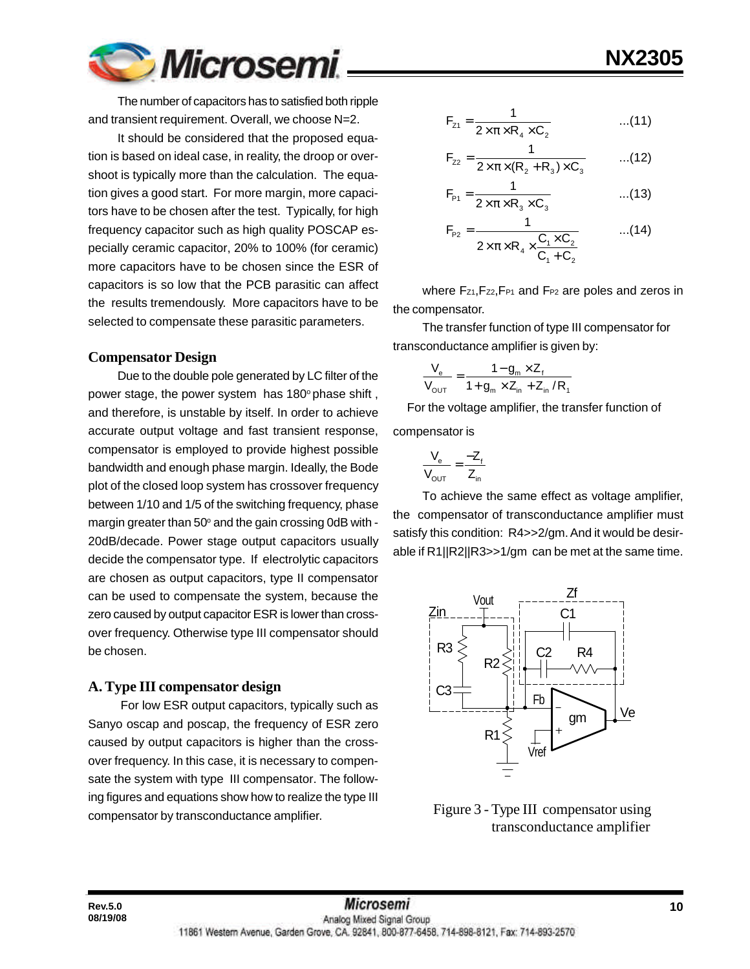

The number of capacitors has to satisfied both ripple and transient requirement. Overall, we choose N=2.

It should be considered that the proposed equation is based on ideal case, in reality, the droop or overshoot is typically more than the calculation. The equation gives a good start. For more margin, more capacitors have to be chosen after the test. Typically, for high frequency capacitor such as high quality POSCAP especially ceramic capacitor, 20% to 100% (for ceramic) more capacitors have to be chosen since the ESR of capacitors is so low that the PCB parasitic can affect the results tremendously. More capacitors have to be selected to compensate these parasitic parameters.

#### **Compensator Design**

Due to the double pole generated by LC filter of the power stage, the power system has  $180^\circ$  phase shift, and therefore, is unstable by itself. In order to achieve accurate output voltage and fast transient response, compensator is employed to provide highest possible bandwidth and enough phase margin. Ideally, the Bode plot of the closed loop system has crossover frequency between 1/10 and 1/5 of the switching frequency, phase margin greater than 50 $^{\circ}$  and the gain crossing 0dB with -20dB/decade. Power stage output capacitors usually decide the compensator type. If electrolytic capacitors are chosen as output capacitors, type II compensator can be used to compensate the system, because the zero caused by output capacitor ESR is lower than crossover frequency. Otherwise type III compensator should be chosen.

#### **A. Type III compensator design**

**08/19/08**

 For low ESR output capacitors, typically such as Sanyo oscap and poscap, the frequency of ESR zero caused by output capacitors is higher than the crossover frequency. In this case, it is necessary to compensate the system with type III compensator. The following figures and equations show how to realize the type III compensator by transconductance amplifier.

$$
F_{z1} = \frac{1}{2 \times \pi \times R_4 \times C_2}
$$
...(11)

**NX2305**

$$
F_{z2} = \frac{1}{2 \times \pi \times (R_2 + R_3) \times C_3}
$$
...(12)

$$
F_{p_1} = \frac{1}{2 \times \pi \times R_3 \times C_3}
$$
...(13)

$$
F_{P2} = \frac{1}{2 \times \pi \times R_4 \times \frac{C_1 \times C_2}{C_1 + C_2}} \qquad ...(14)
$$

where Fz1, Fz2, FP1 and FP2 are poles and zeros in the compensator.

The transfer function of type III compensator for transconductance amplifier is given by:

$$
\frac{V_{e}}{V_{\text{OUT}}} = \frac{1 - g_{m} \times Z_{f}}{1 + g_{m} \times Z_{in} + Z_{in} / R_{f}}
$$

 For the voltage amplifier, the transfer function of compensator is

$$
\frac{V_e}{V_{\text{OUT}}} = \frac{-Z_f}{Z_{\text{in}}}
$$

To achieve the same effect as voltage amplifier, the compensator of transconductance amplifier must satisfy this condition: R4>>2/gm. And it would be desirable if R1||R2||R3>>1/gm can be met at the same time.



 Figure 3 - Type III compensator using transconductance amplifier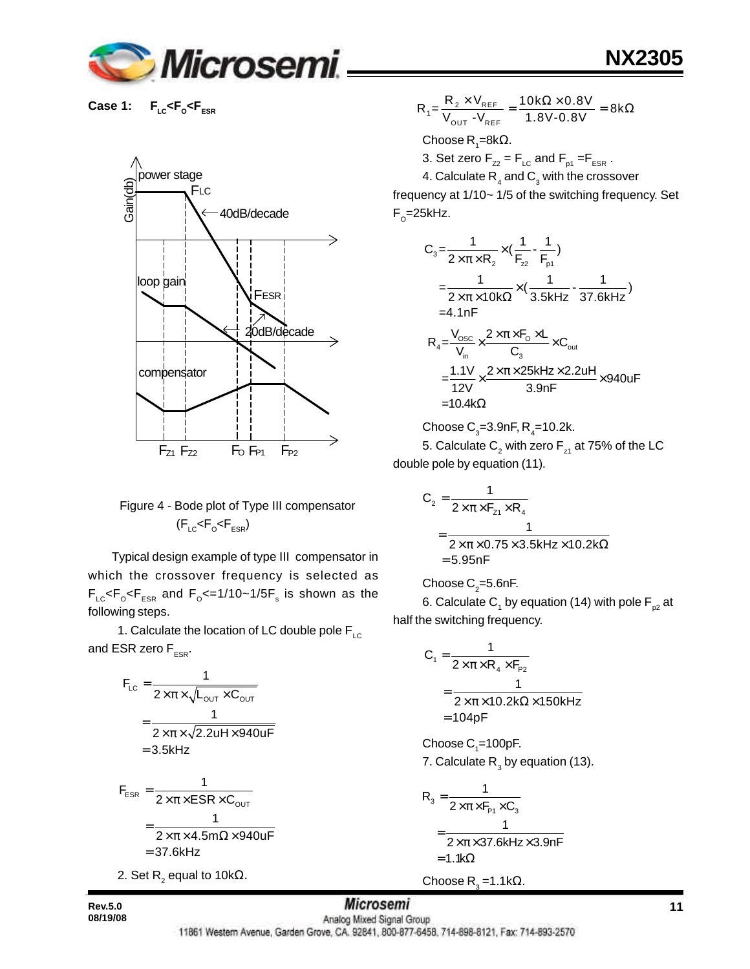

**Case 1:**  $F_{LC}$ < $F_{O}$ < $F_{ESR}$ 



## Figure 4 - Bode plot of Type III compensator (F<sub>LC</sub><F<sub>o</sub><F<sub>ESR</sub>)

 Typical design example of type III compensator in which the crossover frequency is selected as  $\mathsf{F}_\mathsf{LC} \!\! < \!\! \mathsf{F}_\mathsf{o} \!\! < \!\! \mathsf{F}_\mathsf{ESR}$  and  $\mathsf{F}_\mathsf{o} \!\! < = \!\! 1/10\!\!> \!\!1/5\mathsf{F}_\mathsf{s}$  is shown as the following steps.

1. Calculate the location of LC double pole  $F_{\text{LC}}$ and ESR zero  $F_{FSR}$ .

$$
F_{LC} = \frac{1}{2 \times \pi \times \sqrt{L_{OUT} \times C_{OUT}}}
$$

$$
= \frac{1}{2 \times \pi \times \sqrt{2.2uH \times 940uF}}
$$

$$
= 3.5kHz
$$

$$
F_{ESR} = \frac{1}{2 \times \pi \times ESR \times C_{OUT}}
$$
  
= 
$$
\frac{1}{2 \times \pi \times 4.5 \text{m}\Omega \times 940 \text{uF}}
$$
  
= 37.6kHz  
2. Set R<sub>2</sub> equal to 10kΩ.

 $_{1}$ = $\frac{R_{2} \times V_{REF}}{V_{OUT} - V_{REF}}$  =  $\frac{10k\Omega \times 0.8V}{1.8V - 0.8V}$  = 8k $\Omega$  $R_1 = \frac{R_2 \times V_{REF}}{V_{OUT} - V_{REF}} = \frac{10k\Omega \times 0.8V}{1.8V - 0.8V} = 8k$ Choose R<sub>1</sub>=8kΩ. 3. Set zero  $F_{Z2} = F_{LC}$  and  $F_{p1} = F_{ESR}$ .

4. Calculate  $\mathsf{R}_{_4}$  and  $\mathsf{C}_{_3}$  with the crossover frequency at 1/10~ 1/5 of the switching frequency. Set F<sub>o</sub>=25kHz.

$$
C_3 = \frac{1}{2 \times \pi \times R_2} \times (\frac{1}{F_{z2}} - \frac{1}{F_{p1}})
$$
  
\n
$$
= \frac{1}{2 \times \pi \times 10k\Omega} \times (\frac{1}{3.5kHz} - \frac{1}{37.6kHz})
$$
  
\n=4.1nF  
\n
$$
R_4 = \frac{V_{osc}}{V_{in}} \times \frac{2 \times \pi \times F_0 \times L}{C_3} \times C_{out}
$$
  
\n
$$
= \frac{1.1V}{12V} \times \frac{2 \times \pi \times 25kHz \times 2.2uH}{3.9nF} \times 940uF
$$
  
\n=10.4kΩ

Choose C $_{\rm 3}$ =3.9nF, R $_{\rm 4}$ =10.2k.

5. Calculate  $\mathsf{C}_\mathsf{2}$  with zero  $\mathsf{F}_\mathsf{z_1}$  at 75% of the LC double pole by equation (11).

$$
C_2 = \frac{1}{2 \times \pi \times F_{z_1} \times R_4}
$$
  
= 
$$
\frac{1}{2 \times \pi \times 0.75 \times 3.5 \text{kHz} \times 10.2 \text{k}\Omega}
$$
  
= 5.95nF

Choose C $_{\textrm{\tiny{2}}}$ =5.6nF.

6. Calculate C<sub>1</sub> by equation (14) with pole F<sub>p2</sub> at half the switching frequency.

$$
C_1 = \frac{1}{2 \times \pi \times R_4 \times F_{p_2}}
$$
  
= 
$$
\frac{1}{2 \times \pi \times 10.2 k\Omega \times 150kHz}
$$
  
= 104pF

Choose  $\mathrm{C}_\text{\tiny{1}}$ =100pF. 7. Calculate  $\mathsf{R}_{_{3}}$  by equation (13).

$$
R_{3} = \frac{1}{2 \times \pi \times F_{P1} \times C_{3}}
$$
  
= 
$$
\frac{1}{2 \times \pi \times 37.6 \text{kHz} \times 3.9 \text{nF}}
$$
  
= 1.1 kΩ

Choose R<sub>3</sub>=1.1kΩ.

**Rev.5.0 11 08/19/08**

11861 Western Avenue, Garden Grove, CA. 92841, 800-877-6458, 714-898-8121, Fax: 714-893-2570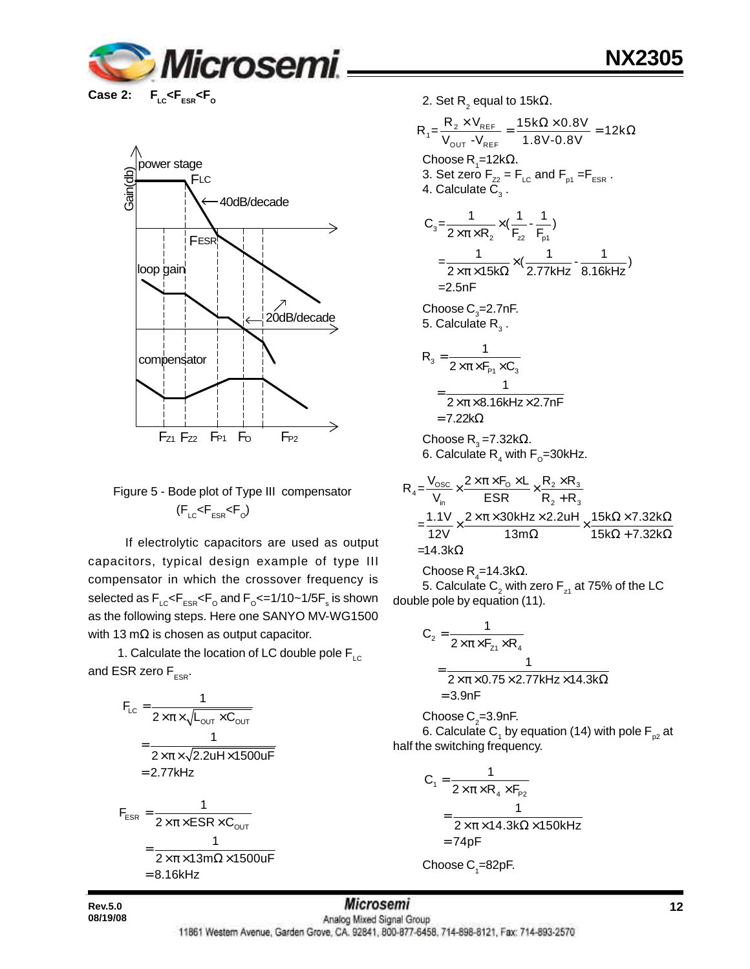





## Figure 5 - Bode plot of Type III compensator  $(\mathsf{F}_{\text{\tiny{LC}}} \!\!\mathrel{< \hspace*{-0.1cm} \mathsf{F}_{\text{\tiny{ESR}}}} \!\!\mathrel{< \hspace*{-0.1cm} \mathsf{F}_{\text{\tiny{O}}}})$

 If electrolytic capacitors are used as output capacitors, typical design example of type III compensator in which the crossover frequency is selected as  $\mathsf{F_{\scriptscriptstyle{LC}}} \mathsf{<} \mathsf{F_{\scriptscriptstyle{ESR}}} \mathsf{<} \mathsf{F_{\scriptscriptstyle{O}}}$  and  $\mathsf{F_{\scriptscriptstyle{O}}} \mathsf{<} \mathsf{=} 1/10 \mathsf{~} \mathsf{~} 1/5 \mathsf{F_{\scriptscriptstyle{S}}^{\scriptscriptstyle{S}}}$  is shown as the following steps. Here one SANYO MV-WG1500 with 13 m $\Omega$  is chosen as output capacitor.

1. Calculate the location of LC double pole  $F_{\text{LC}}$ and ESR zero  $F_{ESR}$ .

$$
F_{LC} = \frac{1}{2 \times \pi \times \sqrt{L_{OUT} \times C_{OUT}}}
$$
  
= 
$$
\frac{1}{2 \times \pi \times \sqrt{2.2uH \times 1500uF}}
$$
  
= 2.77kHz  

$$
F_{ESR} = \frac{1}{2 \times \pi \times ESR \times C_{OUT}}
$$
  
= 
$$
\frac{1}{2 \times \pi \times 13m\Omega \times 1500uF}
$$
  
= 8.16kHz

2. Set R $_{_2}$  equal to 15k $\Omega_\text{\tiny L}$ 

$$
R_{1} = \frac{R_{2} \times V_{REF}}{V_{OUT} - V_{REF}} = \frac{15k\Omega \times 0.8V}{1.8V - 0.8V} = 12k\Omega
$$
  
\nChoose R<sub>1</sub> = 12k $\Omega$ .  
\n3. Set zero F<sub>22</sub> = F<sub>LC</sub> and F<sub>p1</sub> = F<sub>ESR</sub>.  
\n4. Calculate C<sub>3</sub>.  
\n
$$
C_{3} = \frac{1}{2 \times \pi \times R_{2}} \times (\frac{1}{F_{22}} - \frac{1}{F_{p1}})
$$
\n
$$
= \frac{1}{2 \times \pi \times 15k\Omega} \times (\frac{1}{2.77kHz} - \frac{1}{8.16kHz})
$$
\n=2.5nF  
\nChoose C<sub>3</sub>=2.7nF.  
\n5. Calculate R<sub>3</sub>.  
\n
$$
R_{3} = \frac{1}{2 \times \pi \times F_{p1} \times C_{3}}
$$
\n
$$
= \frac{1}{2 \times \pi \times 8.16kHz \times 2.7nF}
$$
\n= 7.22k $\Omega$   
\nChoose R<sub>3</sub> = 7.32k $\Omega$ .  
\n6. Calculate R<sub>4</sub> with F<sub>0</sub>=30kHz.  
\n
$$
R_{4} = \frac{V_{osc}}{V_{max}} \times \frac{2 \times \pi \times F_{0} \times L}{F_{min}} \times \frac{R_{2} \times R_{3}}{R_{min}}
$$

$$
R_4 = \frac{V_{\text{in}}}{V_{\text{in}}} \times \frac{ESR}{ESR} \times \frac{V_{\text{in}}}{R_2 + R_3}
$$
  
=  $\frac{1.1V}{12V} \times \frac{2 \times \pi \times 30 \text{kHz} \times 2.2 \text{uH}}{13 \text{m}\Omega} \times \frac{15 \text{k}\Omega \times 7.32 \text{k}\Omega}{15 \text{k}\Omega + 7.32 \text{k}\Omega}$   
= 14.3 k\Omega

 $\mathsf{Choose}\, \mathsf{R}_4\texttt{=}14.3\texttt{k}\Omega.$ 

5. Calculate  $\mathsf{C}_\mathsf{2}$  with zero  $\mathsf{F}_\mathsf{z_1}$  at 75% of the LC double pole by equation (11).

$$
C_2 = \frac{1}{2 \times \pi \times F_{z1} \times R_4}
$$
  
= 
$$
\frac{1}{2 \times \pi \times 0.75 \times 2.77 \text{kHz} \times 14.3 \text{k}\Omega}
$$
  
= 3.9nF

Choose C $_{\textrm{\tiny{2}}}$ =3.9nF. 6. Calculate C<sub>1</sub> by equation (14) with pole F<sub>p2</sub> at half the switching frequency.

$$
C_1 = \frac{1}{2 \times \pi \times R_4 \times F_{p_2}}
$$
  
= 
$$
\frac{1}{2 \times \pi \times 14.3 k\Omega \times 150 kHz}
$$
  
= 74pF

Choose  $\mathsf{C}_\text{\tiny{1}}$ =82pF.

**08/19/08**

**Rev.5.0 12 12** *MICTOSEMI***</mark>** 11861 Western Avenue, Garden Grove, CA. 92841, 800-877-6458, 714-898-8121, Fax: 714-893-2570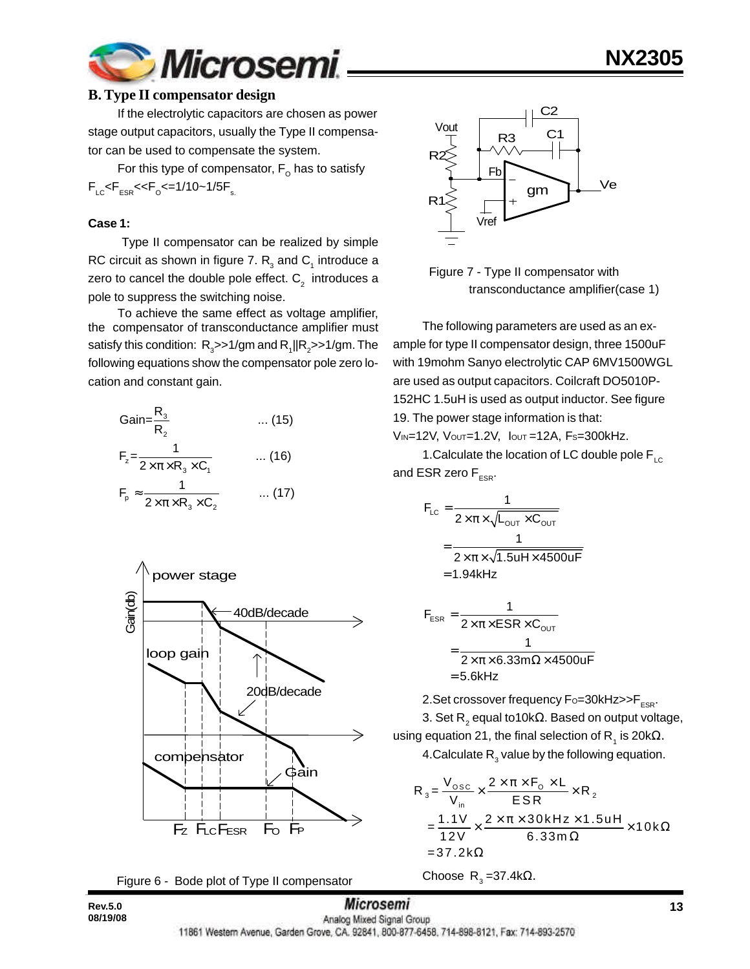

#### **B. Type II compensator design**

If the electrolytic capacitors are chosen as power stage output capacitors, usually the Type II compensator can be used to compensate the system.

For this type of compensator,  $\mathsf{F}_\mathsf{o}$  has to satisfy  $\mathsf{F}_{\text{\tiny{LC}}}$ < $\mathsf{F}_{\text{\tiny{ESR}}}$ << $\mathsf{F}_{\text{\tiny{O}}}$ <=1/10~1/5 $\mathsf{F}_{\text{\tiny{s.}}}$ 

#### **Case 1:**

 Type II compensator can be realized by simple RC circuit as shown in figure 7.  $\mathsf{R}_{_{\mathrm{3}}}$  and  $\mathsf{C}_{_{\mathrm{1}}}$  introduce a zero to cancel the double pole effect.  $\textsf{C}_2^{\phantom{\dag}}$  introduces a pole to suppress the switching noise.

To achieve the same effect as voltage amplifier, the compensator of transconductance amplifier must satisfy this condition:  $\,\mathsf{R}_{{\scriptscriptstyle 3}}$ >>1/gm and  $\mathsf{R}_{{\scriptscriptstyle 1}}\|\mathsf{R}_{{\scriptscriptstyle 2}}$ >>1/gm. The following equations show the compensator pole zero location and constant gain.

$$
Gain = \frac{R_3}{R_2}
$$
 ... (15)  
\n
$$
F_z = \frac{1}{2 \times \pi \times R_3 \times C_1}
$$
 ... (16)  
\n
$$
F_p \approx \frac{1}{2 \times \pi \times R_3 \times C_2}
$$
 ... (17)

R







 Figure 7 - Type II compensator with transconductance amplifier(case 1)

The following parameters are used as an example for type II compensator design, three 1500uF with 19mohm Sanyo electrolytic CAP 6MV1500WGL are used as output capacitors. Coilcraft DO5010P-152HC 1.5uH is used as output inductor. See figure 19. The power stage information is that:

VIN=12V, VOUT=1.2V, IOUT =12A, FS=300kHz.

1. Calculate the location of LC double pole  $F_{\text{LC}}$ and ESR zero  $F_{ESR}$ .

$$
F_{LC} = \frac{1}{2 \times \pi \times \sqrt{L_{OUT} \times C_{OUT}}}
$$

$$
= \frac{1}{2 \times \pi \times \sqrt{1.5 uH \times 4500 uF}}
$$

$$
= 1.94kHz
$$

$$
F_{ESR} = \frac{1}{2 \times \pi \times ESR \times C_{OUT}}
$$

$$
= \frac{1}{2 \times \pi \times 6.33 \text{m}\Omega \times 4500 \text{uF}}
$$

$$
= 5.6 \text{kHz}
$$

2. Set crossover frequency  $F_{\text{O}}=30$ kHz $>$ F<sub>ESR</sub>. 3. Set R $_{2}$  equal to10k $\Omega$ . Based on output voltage, using equation 21, the final selection of R<sub>1</sub> is 20kΩ.

4.Calculate  $\mathsf{R}_{_{3}}$  value by the following equation.

$$
R_3 = \frac{V_{\text{osc}}}{V_{\text{in}}} \times \frac{2 \times \pi \times F_0 \times L}{ESR} \times R_2
$$
  
=  $\frac{1.1 V}{12 V} \times \frac{2 \times \pi \times 30 kHz \times 1.5 uH}{6.33 m \Omega} \times 10 k \Omega$   
= 37.2 k $\Omega$ 

Choose R<sub>3</sub>=37.4kΩ.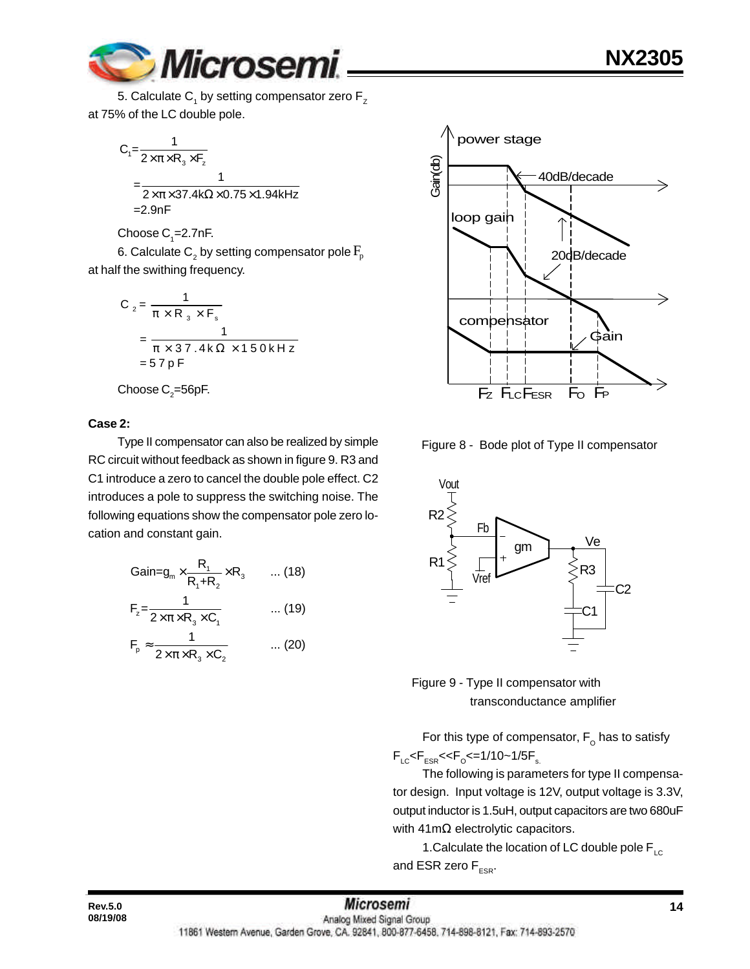

5. Calculate  $\mathsf{C}_\mathsf{1}$  by setting compensator zero  $\mathsf{F}_\mathsf{z}$ at 75% of the LC double pole.

$$
C_1 = \frac{1}{2 \times \pi \times R_3 \times F_z}
$$
  
= 
$$
\frac{1}{2 \times \pi \times 37.4 \text{k}\Omega \times 0.75 \times 1.94 \text{kHz}}
$$
  
= 2.9nF

Choose  $\mathsf{C}_\text{\tiny{1}}$ =2.7nF.

6. Calculate  $\mathsf{C}_\mathsf{2}$  by setting compensator pole  $\mathrm{F}_\mathsf{p}$ at half the swithing frequency.

$$
C_2 = \frac{1}{\pi \times R_3 \times F_s}
$$
  
= 
$$
\frac{1}{\pi \times 37.4 \times \Omega \times 150 \times Hz}
$$
  
= 57 pF

Choose C $_{2}$ =56pF.

#### **Case 2:**

Type II compensator can also be realized by simple RC circuit without feedback as shown in figure 9. R3 and C1 introduce a zero to cancel the double pole effect. C2 introduces a pole to suppress the switching noise. The following equations show the compensator pole zero location and constant gain.

$$
Gain = g_m \times \frac{R_1}{R_1 + R_2} \times R_3 \qquad \dots (18)
$$
  
\n
$$
F_z = \frac{1}{2 \times \pi \times R_3 \times C_1} \qquad \dots (19)
$$
  
\n
$$
F_p \approx \frac{1}{2 \times \pi \times R_3 \times C_2} \qquad \dots (20)
$$



Figure 8 - Bode plot of Type II compensator





For this type of compensator,  $\mathsf{F}_\mathsf{o}$  has to satisfy  $\mathsf{F}_{\text{\tiny{LC}}}$ < $\mathsf{F}_{\text{\tiny{ESR}}}$ << $\mathsf{F}_{\text{\tiny{O}}}$ <=1/10~1/5 $\mathsf{F}_{\text{\tiny{s.}}}$ 

The following is parameters for type II compensator design. Input voltage is 12V, output voltage is 3.3V, output inductor is 1.5uH, output capacitors are two 680uF with 41mΩ electrolytic capacitors.

1. Calculate the location of LC double pole  $F_{\text{LC}}$ and ESR zero  $F_{ESR}$ .

**08/19/08**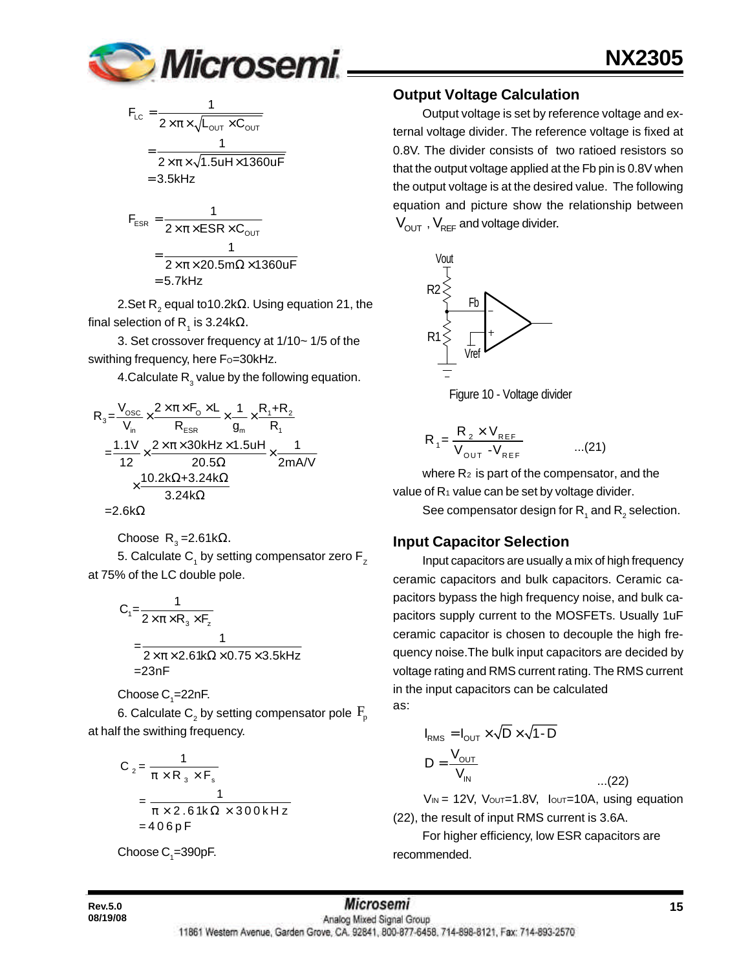

$$
F_{LC} = \frac{1}{2 \times \pi \times \sqrt{L_{OUT} \times C_{OUT}}}
$$

$$
= \frac{1}{2 \times \pi \times \sqrt{1.5uH \times 1360uF}}
$$

$$
= 3.5 \text{kHz}
$$

$$
F_{ESR} = \frac{1}{2 \times \pi \times ESR \times C_{OUT}}
$$

$$
= \frac{1}{2 \times \pi \times 20.5 m\Omega \times 1360 uF}
$$

$$
= 5.7 kHz
$$

2.Set R $_{_2}$  equal to10.2k $\Omega$ . Using equation 21, the final selection of R<sub>1</sub> is 3.24kΩ.

3. Set crossover frequency at 1/10~ 1/5 of the swithing frequency, here Fo=30kHz.

4.Calculate  $\mathsf{R}_{_{3}}$  value by the following equation.

$$
R_{3} = \frac{V_{\text{osc}}}{V_{\text{in}}} \times \frac{2 \times \pi \times F_{\text{o}} \times L}{R_{\text{ESR}}} \times \frac{1}{g_{\text{in}}} \times \frac{R_{1} + R_{2}}{R_{1}}
$$
  
= 
$$
\frac{1.1 V}{12} \times \frac{2 \times \pi \times 30 k H z \times 1.5 u H}{20.5 \Omega} \times \frac{1}{2 m A/V}
$$
  

$$
\times \frac{10.2 k \Omega + 3.24 k \Omega}{3.24 k \Omega}
$$

$$
=2.6k\Omega
$$

Choose 
$$
R_3 = 2.61kΩ
$$
.

5. Calculate C<sub>1</sub> by setting compensator zero F<sub>z</sub> at 75% of the LC double pole.

$$
C_1 = \frac{1}{2 \times \pi \times R_3 \times F_z}
$$
  
= 
$$
\frac{1}{2 \times \pi \times 2.61 \times 0.75 \times 3.5 \times 12}
$$
  
= 23nF

Choose C $_{\textrm{\tiny{1}}}$ =22nF.

6. Calculate  $\mathsf{C}_\mathsf{2}$  by setting compensator pole  $\,\mathsf{F}_\mathsf{p}\,$ at half the swithing frequency.

$$
C_2 = \frac{1}{\pi \times R_3 \times F_s}
$$
  
= 
$$
\frac{1}{\pi \times 2.61k\Omega \times 300kHz}
$$
  
= 406pF

Choose  $\mathsf{C}_\text{\tiny{1}}$ =390pF.

## **Output Voltage Calculation**

Output voltage is set by reference voltage and external voltage divider. The reference voltage is fixed at 0.8V. The divider consists of two ratioed resistors so that the output voltage applied at the Fb pin is 0.8V when the output voltage is at the desired value. The following equation and picture show the relationship between  $V_{\text{OUT}}$ ,  $V_{\text{REF}}$  and voltage divider.



Figure 10 - Voltage divider

$$
R_{1} = \frac{R_{2} \times V_{REF}}{V_{OUT} - V_{REF}} \qquad ...(21)
$$

where  $R_2$  is part of the compensator, and the value of  $R_1$  value can be set by voltage divider.

See compensator design for  $\mathsf{R}^{\vphantom{\dagger}}_1$  and  $\mathsf{R}^{\vphantom{\dagger}}_2$  selection.

## **Input Capacitor Selection**

Input capacitors are usually a mix of high frequency ceramic capacitors and bulk capacitors. Ceramic capacitors bypass the high frequency noise, and bulk capacitors supply current to the MOSFETs. Usually 1uF ceramic capacitor is chosen to decouple the high frequency noise.The bulk input capacitors are decided by voltage rating and RMS current rating. The RMS current in the input capacitors can be calculated as:

$$
I_{RMS} = I_{OUT} \times \sqrt{D} \times \sqrt{1 - D}
$$

$$
D = \frac{V_{OUT}}{V_{IN}}
$$

 $V_{IN}$  = 12V,  $V_{OUT}=1.8V$ ,  $I_{OUT}=10A$ , using equation (22), the result of input RMS current is 3.6A.

...(22)

For higher efficiency, low ESR capacitors are recommended.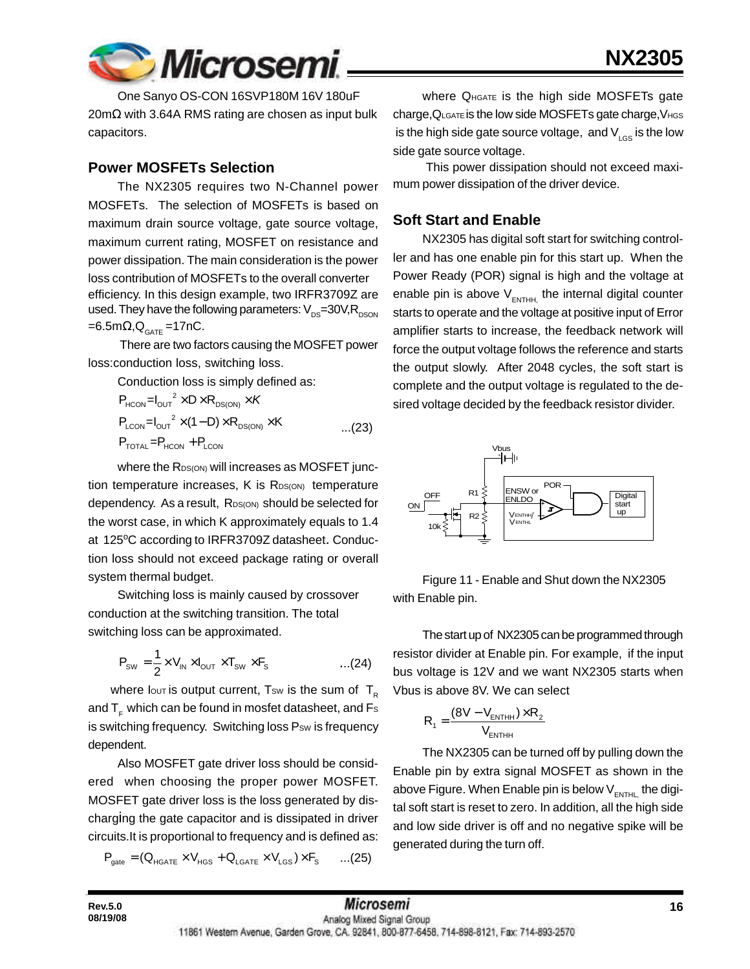

One Sanyo OS-CON 16SVP180M 16V 180uF 20mΩ with 3.64A RMS rating are chosen as input bulk capacitors.

#### **Power MOSFETs Selection**

The NX2305 requires two N-Channel power MOSFETs. The selection of MOSFETs is based on maximum drain source voltage, gate source voltage, maximum current rating, MOSFET on resistance and power dissipation. The main consideration is the power loss contribution of MOSFETs to the overall converter efficiency. In this design example, two IRFR3709Z are used. They have the following parameters:  $V_{DS}=30V,R_{DSON}$  $=6.5$ m $\Omega$ , $Q_{GATE}$  =17nC.

 There are two factors causing the MOSFET power loss:conduction loss, switching loss.

Conduction loss is simply defined as:

$$
P_{HCON} = I_{OUT}^2 \times D \times R_{DS(ON)} \times K
$$
  
\n
$$
P_{LCDN} = I_{OUT}^2 \times (1 - D) \times R_{DS(ON)} \times K
$$
...(23)  
\n
$$
P_{TOTAL} = P_{HCON} + P_{LCDN}
$$

where the R<sub>DS(ON)</sub> will increases as MOSFET junction temperature increases, K is RDS(ON) temperature dependency. As a result, RDS(ON) should be selected for the worst case, in which K approximately equals to 1.4 at 125°C according to IRFR3709Z datasheet. Conduction loss should not exceed package rating or overall system thermal budget.

Switching loss is mainly caused by crossover conduction at the switching transition. The total switching loss can be approximated.

$$
P_{\text{SW}} = \frac{1}{2} \times V_{\text{IN}} \times I_{\text{OUT}} \times T_{\text{SW}} \times F_{\text{s}}
$$
...(24)

where lout is output current, Tsw is the sum of  $T_{\text{R}}$ and  $T<sub>e</sub>$  which can be found in mosfet datasheet, and  $Fs$ is switching frequency. Switching loss Psw is frequency dependent.

Also MOSFET gate driver loss should be considered when choosing the proper power MOSFET. MOSFET gate driver loss is the loss generated by discharging the gate capacitor and is dissipated in driver circuits.It is proportional to frequency and is defined as:

$$
\boldsymbol{P}_{\text{gate}} = (\boldsymbol{Q}_{\text{HGATE}} \times \boldsymbol{V}_{\text{HGS}} + \boldsymbol{Q}_{\text{LGATE}} \times \boldsymbol{V}_{\text{LGS}}) \times \boldsymbol{F}_{\text{S}} \qquad ... (25)
$$

Where QHGATE is the high side MOSFETs gate charge,QLGATE is the low side MOSFETs gate charge,VHGS is the high side gate source voltage, and  $V_{LSS}$  is the low side gate source voltage.

 This power dissipation should not exceed maximum power dissipation of the driver device.

#### **Soft Start and Enable**

NX2305 has digital soft start for switching controller and has one enable pin for this start up. When the Power Ready (POR) signal is high and the voltage at enable pin is above  $V_{\text{ENTER}}$  the internal digital counter starts to operate and the voltage at positive input of Error amplifier starts to increase, the feedback network will force the output voltage follows the reference and starts the output slowly. After 2048 cycles, the soft start is complete and the output voltage is regulated to the desired voltage decided by the feedback resistor divider.



Figure 11 - Enable and Shut down the NX2305 with Enable pin.

The start up of NX2305 can be programmed through resistor divider at Enable pin. For example, if the input bus voltage is 12V and we want NX2305 starts when Vbus is above 8V. We can select

$$
R_{1} = \frac{(8V - V_{\text{ENTHH}}) \times R_{2}}{V_{\text{ENTHH}}}
$$

The NX2305 can be turned off by pulling down the Enable pin by extra signal MOSFET as shown in the above Figure. When Enable pin is below  $V_{ENTHL}$  the digital soft start is reset to zero. In addition, all the high side and low side driver is off and no negative spike will be generated during the turn off.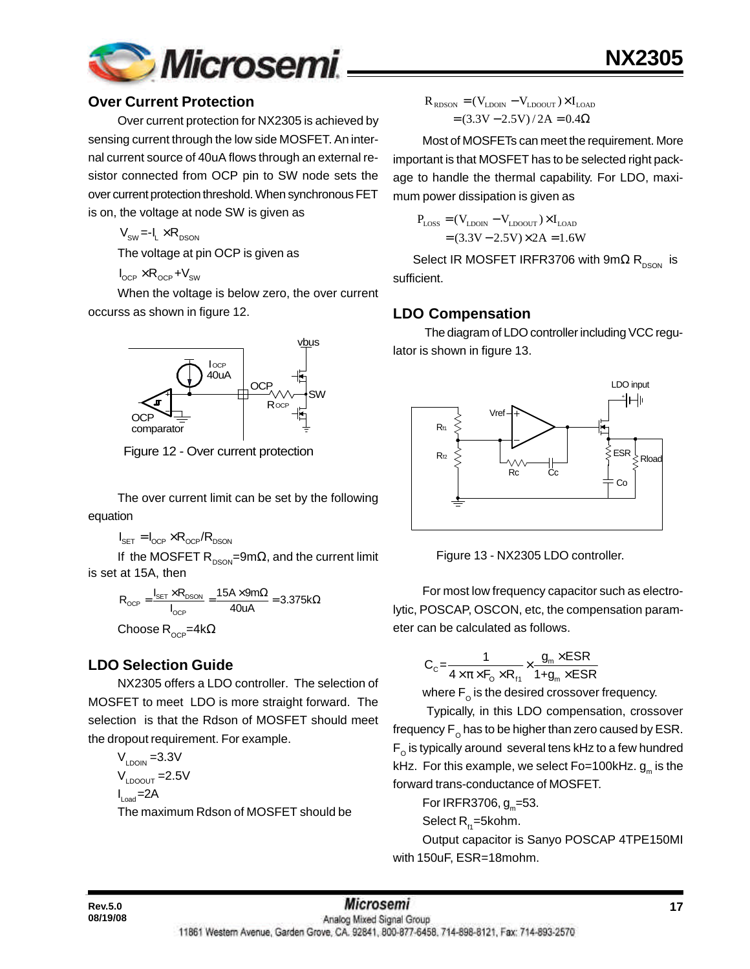

#### **Over Current Protection**

Over current protection for NX2305 is achieved by sensing current through the low side MOSFET. An internal current source of 40uA flows through an external resistor connected from OCP pin to SW node sets the over current protection threshold. When synchronous FET is on, the voltage at node SW is given as

 $V_{\text{cm}} = -I_{I} \times R_{\text{DSON}}$ 

The voltage at pin OCP is given as

 $I_{\text{OCP}} \times R_{\text{OCP}} + V_{\text{SW}}$ 

When the voltage is below zero, the over current occurss as shown in figure 12.



Figure 12 - Over current protection

The over current limit can be set by the following equation

$$
I_{\text{SET}} = I_{\text{OCP}} \times R_{\text{OCP}} / R_{\text{DSON}}
$$

If the MOSFET R<sub>DSON</sub>=9m $\Omega$ , and the current limit is set at 15A, then

$$
R_{OCP} = \frac{I_{SET} \times R_{DSON}}{I_{OCP}} = \frac{15A \times 9m\Omega}{40uA} = 3.375k\Omega
$$

Choose R<sub>ocP</sub>=4kΩ

## **LDO Selection Guide**

NX2305 offers a LDO controller. The selection of MOSFET to meet LDO is more straight forward. The selection is that the Rdson of MOSFET should meet the dropout requirement. For example.

 $V_{LDOIN}$  =3.3V  $V_{\text{LOOLIT}} = 2.5V$  $I_{\text{Load}} = 2A$ The maximum Rdson of MOSFET should be

$$
R_{\text{RDSON}} = (V_{\text{LD0IN}} - V_{\text{LD0OUT}}) \times I_{\text{LOAD}}
$$

$$
= (3.3V - 2.5V) / 2A = 0.4\Omega
$$

Most of MOSFETs can meet the requirement. More important is that MOSFET has to be selected right package to handle the thermal capability. For LDO, maximum power dissipation is given as

**NX2305**

$$
P_{\text{LOS}} = (V_{\text{LDON}} - V_{\text{LDOOUT}}) \times I_{\text{LOAD}}
$$

$$
= (3.3V - 2.5V) \times 2A = 1.6W
$$

Select IR MOSFET IRFR3706 with  $9m\Omega R_{DSON}$  is sufficient.

## **LDO Compensation**

 The diagram of LDO controller including VCC regulator is shown in figure 13.



Figure 13 - NX2305 LDO controller.

For most low frequency capacitor such as electrolytic, POSCAP, OSCON, etc, the compensation parameter can be calculated as follows.

$$
C_{c} = \frac{1}{4 \times \pi \times F_{o} \times R_{f1}} \times \frac{g_{m} \times ESR}{1 + g_{m} \times ESR}
$$

where  $\mathsf{F}_{_{\mathrm{O}}}$  is the desired crossover frequency.

 Typically, in this LDO compensation, crossover frequency  $\mathsf{F}_{_\mathrm{O}}$  has to be higher than zero caused by ESR.  $\mathsf{F}_\mathsf{o}$  is typically around several tens kHz to a few hundred kHz. For this example, we select Fo=100kHz. g<sub>m</sub> is the forward trans-conductance of MOSFET.

For IRFR3706, g<sub>m</sub>=53.

Select  $R_{n}$ =5kohm.

Output capacitor is Sanyo POSCAP 4TPE150MI with 150uF, ESR=18mohm.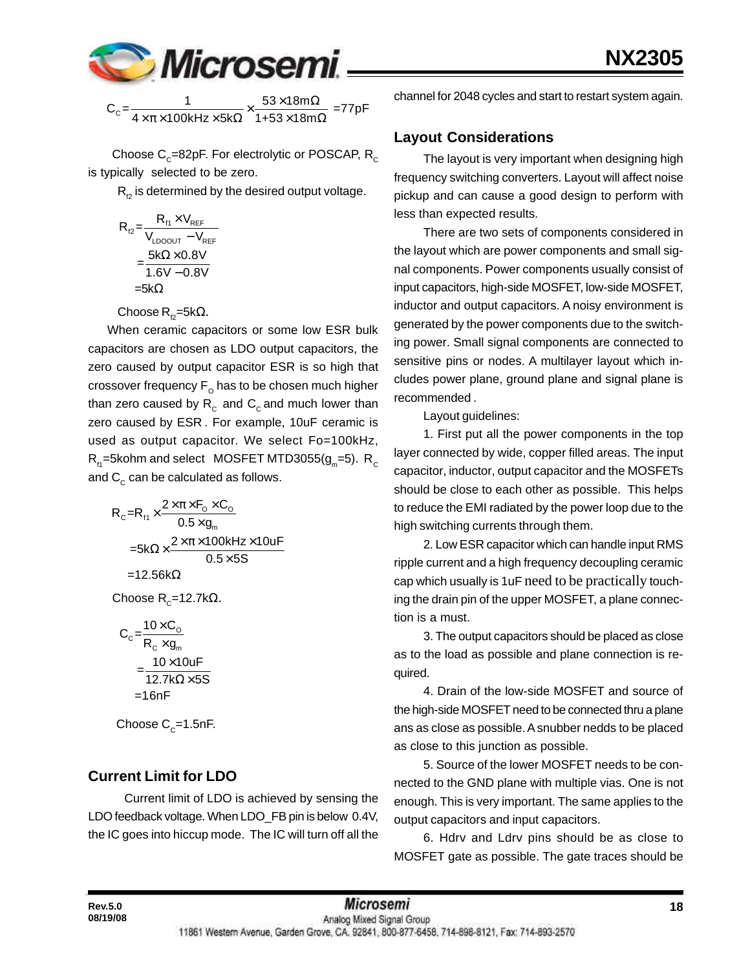

 $C_{\text{c}} = \frac{1}{4 \times \pi \times 100 \text{kHz} \times 5 \text{k}\Omega} \times \frac{53 \times 18 \text{m}\Omega}{1+53 \times 18 \text{m}\Omega} = 77 \text{pF}$  $\frac{1}{\times\pi\times 100$ kHz $\times$ 5k $\Omega$  $\times \frac{53\times 18$ m $\Omega}{1+53\times 18$ m $\Omega}$ 

Choose C $_{\rm c}$ =82pF. For electrolytic or POSCAP, R $_{\rm c}$ is typically selected to be zero.

 $R<sub>p</sub>$  is determined by the desired output voltage.

$$
R_{r2} = \frac{R_{r1} \times V_{REF}}{V_{LDOOUT} - V_{REF}}
$$

$$
= \frac{5k\Omega \times 0.8V}{1.6V - 0.8V}
$$

$$
= 5k\Omega
$$

Choose  $R_{\varphi}$ =5kΩ.

 When ceramic capacitors or some low ESR bulk capacitors are chosen as LDO output capacitors, the zero caused by output capacitor ESR is so high that crossover frequency  $\mathsf{F}_\mathsf{o}$  has to be chosen much higher than zero caused by  $R_c$  and  $C_c$  and much lower than zero caused by ESR . For example, 10uF ceramic is used as output capacitor. We select Fo=100kHz,  $\mathsf{R}_{\mathsf{H}}^{}$ =5kohm and select  $\,$  MOSFET MTD3055(g $_{\mathsf{m}}^{}$ =5).  $\, \mathsf{R}_{\mathsf{C}}^{}$ and  $C_c$  can be calculated as follows.

$$
R_c = R_H \times \frac{2 \times \pi \times F_o \times C_o}{0.5 \times g_m}
$$
  
=5k\Omega \times \frac{2 \times \pi \times 100kHz \times 10uF}{0.5 \times 5S}  
=12.56k\Omega

 $\mathsf{Choose}\ \mathsf{R}_\mathsf{C}\texttt{=12.7k}\Omega.$ 

$$
C_{c} = \frac{10 \times C_{o}}{R_{c} \times g_{m}}
$$

$$
= \frac{10 \times 10 \text{uF}}{12.7 \text{k}\Omega \times 5S}
$$

$$
= 1.6 \text{nF}
$$

Choose  $C_c$ =1.5nF.

## **Current Limit for LDO**

Current limit of LDO is achieved by sensing the LDO feedback voltage. When LDO FB pin is below 0.4V, the IC goes into hiccup mode. The IC will turn off all the

channel for 2048 cycles and start to restart system again.

## **Layout Considerations**

The layout is very important when designing high frequency switching converters. Layout will affect noise pickup and can cause a good design to perform with less than expected results.

There are two sets of components considered in the layout which are power components and small signal components. Power components usually consist of input capacitors, high-side MOSFET, low-side MOSFET, inductor and output capacitors. A noisy environment is generated by the power components due to the switching power. Small signal components are connected to sensitive pins or nodes. A multilayer layout which includes power plane, ground plane and signal plane is recommended .

Layout guidelines:

1. First put all the power components in the top layer connected by wide, copper filled areas. The input capacitor, inductor, output capacitor and the MOSFETs should be close to each other as possible. This helps to reduce the EMI radiated by the power loop due to the high switching currents through them.

2. Low ESR capacitor which can handle input RMS ripple current and a high frequency decoupling ceramic cap which usually is 1uF need to be practically touching the drain pin of the upper MOSFET, a plane connection is a must.

3. The output capacitors should be placed as close as to the load as possible and plane connection is required.

4. Drain of the low-side MOSFET and source of the high-side MOSFET need to be connected thru a plane ans as close as possible. A snubber nedds to be placed as close to this junction as possible.

5. Source of the lower MOSFET needs to be connected to the GND plane with multiple vias. One is not enough. This is very important. The same applies to the output capacitors and input capacitors.

6. Hdrv and Ldrv pins should be as close to MOSFET gate as possible. The gate traces should be